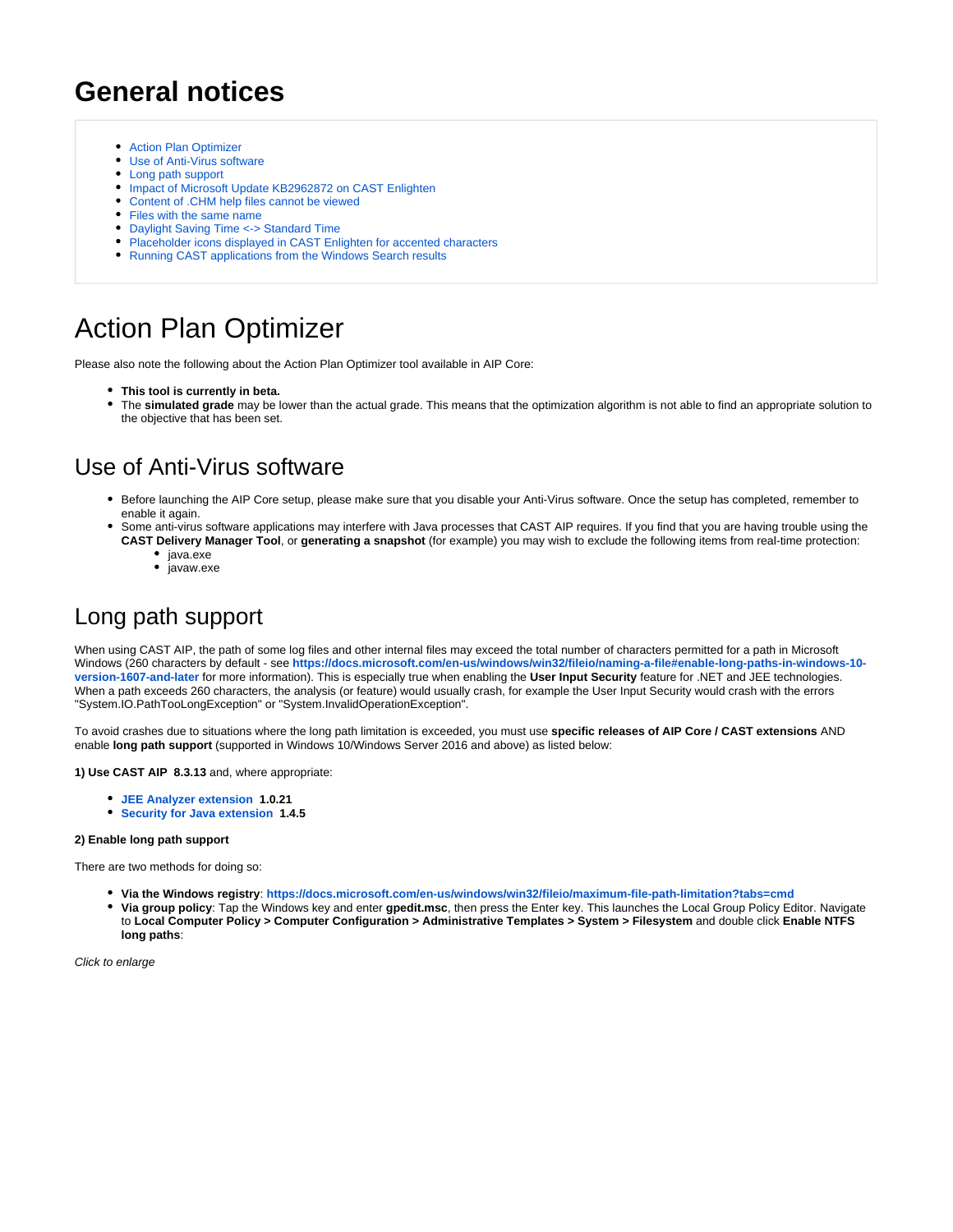# **General notices**

- [Action Plan Optimizer](#page-0-0)
- [Use of Anti-Virus software](#page-0-1)
- [Long path support](#page-0-2)
- [Impact of Microsoft Update KB2962872 on CAST Enlighten](#page-1-0)
- [Content of .CHM help files cannot be viewed](#page-2-0)
- [Files with the same name](#page-2-1)
- [Daylight Saving Time <-> Standard Time](#page-2-2)
- [Placeholder icons displayed in CAST Enlighten for accented characters](#page-2-3)
- [Running CAST applications from the Windows Search results](#page-2-4)

# <span id="page-0-0"></span>Action Plan Optimizer

Please also note the following about the Action Plan Optimizer tool available in AIP Core:

- **This tool is currently in beta.**
- The **simulated grade** may be lower than the actual grade. This means that the optimization algorithm is not able to find an appropriate solution to the objective that has been set.

### <span id="page-0-1"></span>Use of Anti-Virus software

- Before launching the AIP Core setup, please make sure that you disable your Anti-Virus software. Once the setup has completed, remember to enable it again.
- Some anti-virus software applications may interfere with Java processes that CAST AIP requires. If you find that you are having trouble using the **CAST Delivery Manager Tool**, or **generating a snapshot** (for example) you may wish to exclude the following items from real-time protection:
	- java.exe
	- $\bullet$  javaw.exe

#### <span id="page-0-2"></span>Long path support

When using CAST AIP, the path of some log files and other internal files may exceed the total number of characters permitted for a path in Microsoft Windows (260 characters by default - see **[https://docs.microsoft.com/en-us/windows/win32/fileio/naming-a-file#enable-long-paths-in-windows-10](https://docs.microsoft.com/en-us/windows/win32/fileio/naming-a-file#enable-long-paths-in-windows-10-version-1607-and-later) [version-1607-and-later](https://docs.microsoft.com/en-us/windows/win32/fileio/naming-a-file#enable-long-paths-in-windows-10-version-1607-and-later)** for more information). This is especially true when enabling the **User Input Security** feature for .NET and JEE technologies. When a path exceeds 260 characters, the analysis (or feature) would usually crash, for example the User Input Security would crash with the errors "System.IO.PathTooLongException" or "System.InvalidOperationException".

To avoid crashes due to situations where the long path limitation is exceeded, you must use **specific releases of AIP Core / CAST extensions** AND enable **long path support** (supported in Windows 10/Windows Server 2016 and above) as listed below:

**1) Use CAST AIP 8.3.13** and, where appropriate:

- **[JEE Analyzer extension](https://doc.castsoftware.com/display/TECHNOS/JEE+Analyzer) 1.0.21**
- **[Security for Java extension](https://doc.castsoftware.com/display/TECHNOS/Security+for+Java) 1.4.5**

#### **2) Enable long path support**

There are two methods for doing so:

- **Via the Windows registry**: **<https://docs.microsoft.com/en-us/windows/win32/fileio/maximum-file-path-limitation?tabs=cmd>**
- **Via group policy**: Tap the Windows key and enter **gpedit.msc**, then press the Enter key. This launches the Local Group Policy Editor. Navigate to **Local Computer Policy > Computer Configuration > Administrative Templates > System > Filesystem** and double click **Enable NTFS long paths**: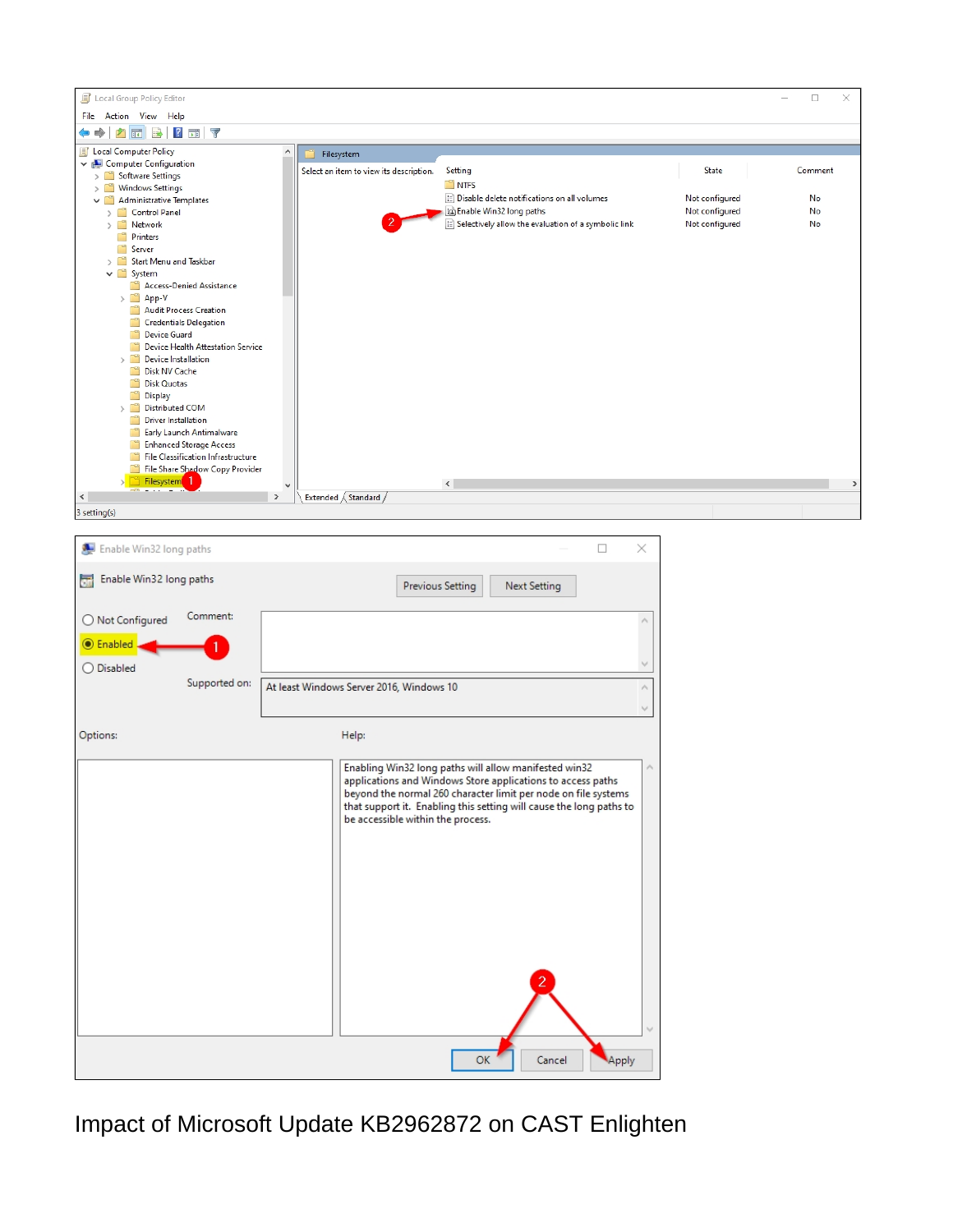

<span id="page-1-0"></span>Impact of Microsoft Update KB2962872 on CAST Enlighten